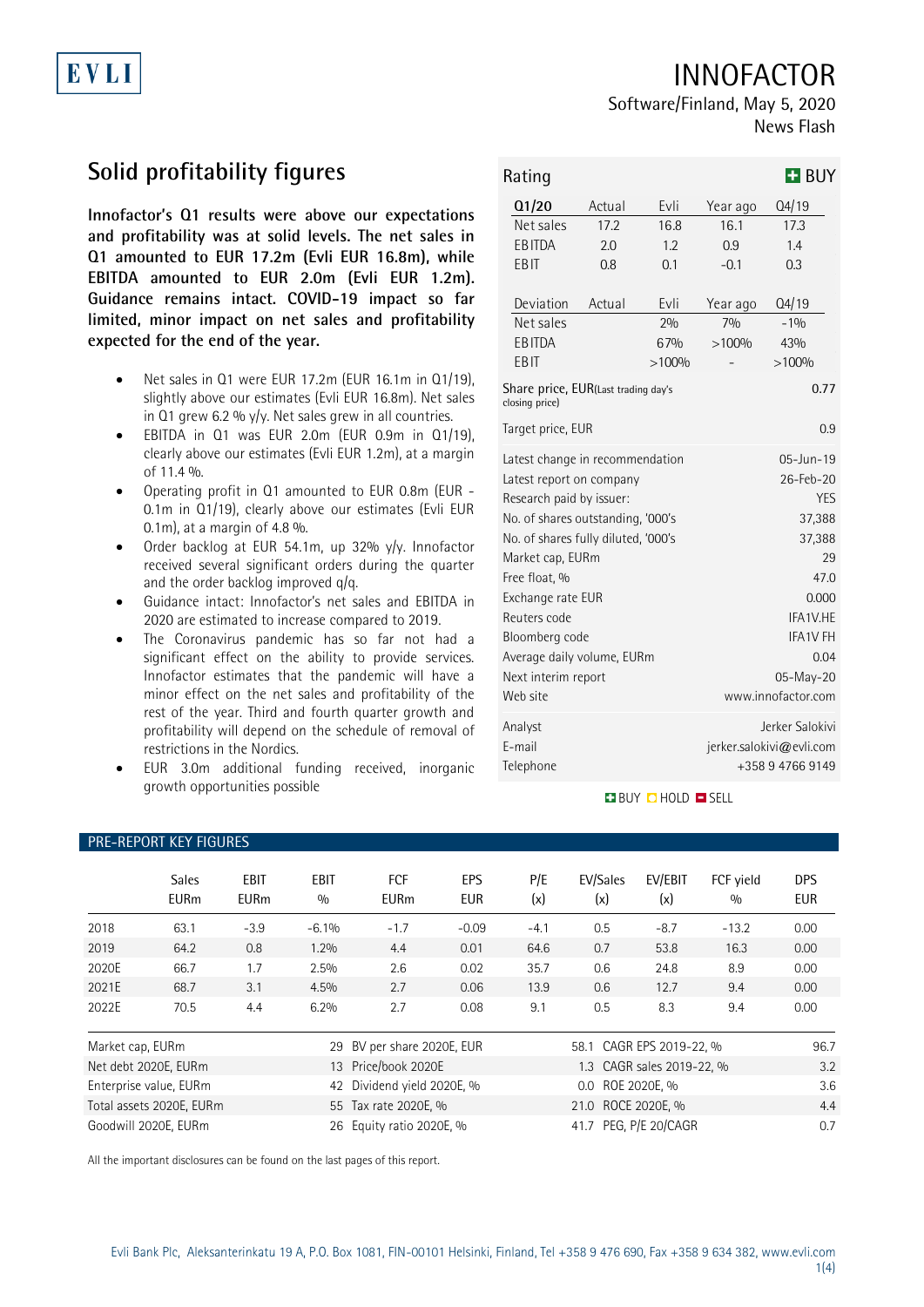# INNOFACTOR

## Software/Finland, May 5, 2020 News Flash

# **Solid profitability figures**

EVLI

**Innofactor's Q1 results were above our expectations and profitability was at solid levels. The net sales in Q1 amounted to EUR 17.2m (Evli EUR 16.8m), while EBITDA amounted to EUR 2.0m (Evli EUR 1.2m). Guidance remains intact. COVID-19 impact so far limited, minor impact on net sales and profitability expected for the end of the year.**

- Net sales in Q1 were EUR 17.2m (EUR 16.1m in Q1/19), slightly above our estimates (Evli EUR 16.8m). Net sales in Q1 grew 6.2 %  $y/y$ . Net sales grew in all countries.
- EBITDA in Q1 was EUR 2.0m (EUR 0.9m in Q1/19), clearly above our estimates (Evli EUR 1.2m), at a margin of 11.4 %.
- Operating profit in Q1 amounted to EUR 0.8m (EUR 0.1m in Q1/19), clearly above our estimates (Evli EUR 0.1m), at a margin of 4.8 %.
- Order backlog at EUR 54.1m, up 32% y/y. Innofactor received several significant orders during the quarter and the order backlog improved q/q.
- Guidance intact: Innofactor's net sales and EBITDA in 2020 are estimated to increase compared to 2019.
- The Coronavirus pandemic has so far not had a significant effect on the ability to provide services. Innofactor estimates that the pandemic will have a minor effect on the net sales and profitability of the rest of the year. Third and fourth quarter growth and profitability will depend on the schedule of removal of restrictions in the Nordics.
- EUR 3.0m additional funding received, inorganic growth opportunities possible

PRE-REPORT KEY FIGURES

| Rating                                                        |        | <b>H</b> BUY             |                 |         |  |  |  |  |
|---------------------------------------------------------------|--------|--------------------------|-----------------|---------|--|--|--|--|
| Q1/20                                                         | Actual | Evli                     | Year ago        | Q4/19   |  |  |  |  |
| Net sales                                                     | 17.2   | 16.8                     | 16.1            | 17.3    |  |  |  |  |
| <b>EBITDA</b>                                                 | 2.0    | 1.2                      | 0.9             | 1.4     |  |  |  |  |
| <b>EBIT</b>                                                   | 0.8    | 0.1                      | $-0.1$          | 0.3     |  |  |  |  |
| Deviation                                                     | Actual | Evli                     | Year ago        | Q4/19   |  |  |  |  |
| Net sales                                                     |        | 20/0                     | 7%              | $-10/0$ |  |  |  |  |
| <b>EBITDA</b>                                                 |        | 67%                      | >100%           | 43%     |  |  |  |  |
| EB IT                                                         |        | >100%                    |                 | >100%   |  |  |  |  |
| Share price, EUR(Last trading day's<br>0.77<br>closing price) |        |                          |                 |         |  |  |  |  |
| Target price, EUR<br>0.9                                      |        |                          |                 |         |  |  |  |  |
| Latest change in recommendation                               |        |                          | $05 - Jun - 19$ |         |  |  |  |  |
| Latest report on company                                      |        | 26-Feb-20                |                 |         |  |  |  |  |
| Research paid by issuer:                                      |        | <b>YES</b>               |                 |         |  |  |  |  |
| No. of shares outstanding, '000's                             |        | 37,388                   |                 |         |  |  |  |  |
| No. of shares fully diluted, '000's                           |        | 37,388                   |                 |         |  |  |  |  |
| Market cap, EURm                                              |        | 29                       |                 |         |  |  |  |  |
| Free float, %                                                 |        |                          | 47.0            |         |  |  |  |  |
| Exchange rate EUR                                             |        | 0.000                    |                 |         |  |  |  |  |
| Reuters code                                                  |        | IFA1V.HE                 |                 |         |  |  |  |  |
| Bloomberg code                                                |        | <b>IFA1V FH</b>          |                 |         |  |  |  |  |
| Average daily volume, EURm                                    |        | 0.04                     |                 |         |  |  |  |  |
| Next interim report                                           |        | 05-May-20                |                 |         |  |  |  |  |
| Web site                                                      |        | www.innofactor.com       |                 |         |  |  |  |  |
| Analyst                                                       |        | Jerker Salokivi          |                 |         |  |  |  |  |
| E-mail                                                        |        | jerker.salokivi@evli.com |                 |         |  |  |  |  |
| Telephone                                                     |        | +358947669149            |                 |         |  |  |  |  |

### **BUY CHOLD ESELL**

|                        | <b>Sales</b><br><b>EURm</b> | <b>EBIT</b><br><b>EURm</b> | <b>EBIT</b><br>0/0      | <b>FCF</b><br><b>EURm</b> | EPS<br><b>EUR</b> | P/E<br>(x)               | EV/Sales<br>(x)       | EV/EBIT<br>(x)            | FCF yield<br>0/0 | <b>DPS</b><br>EUR |  |  |
|------------------------|-----------------------------|----------------------------|-------------------------|---------------------------|-------------------|--------------------------|-----------------------|---------------------------|------------------|-------------------|--|--|
| 2018                   | 63.1                        | $-3.9$                     | $-6.1%$                 | $-1.7$                    | $-0.09$           | $-4.1$                   | 0.5                   | $-8.7$                    | $-13.2$          | 0.00              |  |  |
| 2019                   | 64.2                        | 0.8                        | 1.2%                    | 4.4                       | 0.01              | 64.6                     | 0.7                   | 53.8                      | 16.3             | 0.00              |  |  |
| 2020E                  | 66.7                        | 1.7                        | 2.5%                    | 2.6                       | 0.02              | 35.7                     | 0.6                   | 24.8                      | 8.9              | 0.00              |  |  |
| 2021E                  | 68.7                        | 3.1                        | 4.5%                    | 2.7                       | 0.06              | 13.9                     | 0.6                   | 12.7                      | 9.4              | 0.00              |  |  |
| 2022E                  | 70.5                        | 4.4                        | 6.2%                    | 2.7                       | 0.08              | 9.1                      | 0.5                   | 8.3                       | 9.4              | 0.00              |  |  |
| Market cap, EURm<br>29 |                             |                            | BV per share 2020E, EUR |                           |                   | 58.1 CAGR EPS 2019-22, % |                       |                           | 96.7             |                   |  |  |
|                        | Net debt 2020E, EURm        |                            |                         | 13 Price/book 2020E       |                   |                          |                       | 1.3 CAGR sales 2019-22, % |                  | 3.2               |  |  |
|                        | Enterprise value, EURm      |                            | 42                      | Dividend yield 2020E, %   |                   | 0.0 ROE 2020E, %         |                       |                           |                  | 3.6               |  |  |
|                        | Total assets 2020E, EURm    |                            |                         | 55 Tax rate 2020E, %      |                   | 21.0 ROCE 2020E, %       |                       |                           |                  | 4.4               |  |  |
|                        | Goodwill 2020E, EURm        |                            | 26                      | Equity ratio 2020E, %     |                   |                          | 41.7 PEG, P/E 20/CAGR |                           |                  | 0.7               |  |  |

All the important disclosures can be found on the last pages of this report.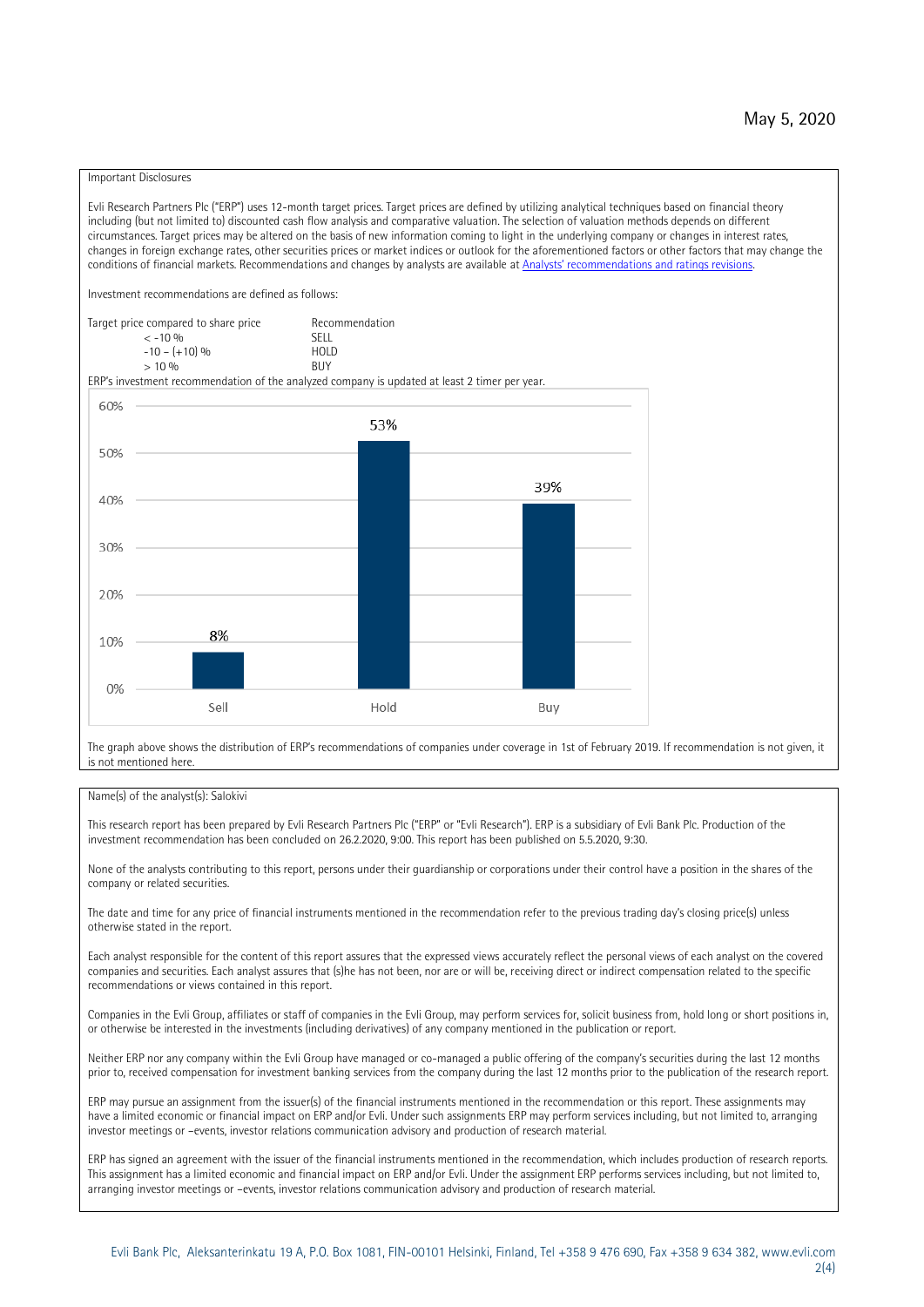### Important Disclosures

Evli Research Partners Plc ("ERP") uses 12-month target prices. Target prices are defined by utilizing analytical techniques based on financial theory including (but not limited to) discounted cash flow analysis and comparative valuation. The selection of valuation methods depends on different circumstances. Target prices may be altered on the basis of new information coming to light in the underlying company or changes in interest rates, changes in foreign exchange rates, other securities prices or market indices or outlook for the aforementioned factors or other factors that may change the conditions of financial markets. Recommendations and changes by analysts are available at [Analysts' recommendations and ratings revisions](https://research.evli.com/JasperAllModels.action?authParam=key;461&authParam=x;G3rNagWrtf7K&authType=3). Investment recommendations are defined as follows: Target price compared to share price Recommendation<br> $\epsilon$  -10 %  $\langle 5, 10, 10 \rangle$  SELL<br>  $\langle -10, 6, 10 \rangle$  SELL<br>  $\langle 10, 10, 10 \rangle$  $-10 - (+10) \%$  HOLD<br>> 10 % BUY  $> 10\%$ ERP's investment recommendation of the analyzed company is updated at least 2 timer per year. 60% 53% 50% 39% 40% 30%  $20%$ 8% 10% 0% Sell Hold Buy

The graph above shows the distribution of ERP's recommendations of companies under coverage in 1st of February 2019. If recommendation is not given, it is not mentioned here.

### Name(s) of the analyst(s): Salokivi

This research report has been prepared by Evli Research Partners Plc ("ERP" or "Evli Research"). ERP is a subsidiary of Evli Bank Plc. Production of the investment recommendation has been concluded on 26.2.2020, 9:00. This report has been published on 5.5.2020, 9:30.

None of the analysts contributing to this report, persons under their guardianship or corporations under their control have a position in the shares of the company or related securities.

The date and time for any price of financial instruments mentioned in the recommendation refer to the previous trading day's closing price(s) unless otherwise stated in the report.

Each analyst responsible for the content of this report assures that the expressed views accurately reflect the personal views of each analyst on the covered companies and securities. Each analyst assures that (s)he has not been, nor are or will be, receiving direct or indirect compensation related to the specific recommendations or views contained in this report.

Companies in the Evli Group, affiliates or staff of companies in the Evli Group, may perform services for, solicit business from, hold long or short positions in, or otherwise be interested in the investments (including derivatives) of any company mentioned in the publication or report.

Neither ERP nor any company within the Evli Group have managed or co-managed a public offering of the company's securities during the last 12 months prior to, received compensation for investment banking services from the company during the last 12 months prior to the publication of the research report.

ERP may pursue an assignment from the issuer(s) of the financial instruments mentioned in the recommendation or this report. These assignments may have a limited economic or financial impact on ERP and/or Evli. Under such assignments ERP may perform services including, but not limited to, arranging investor meetings or –events, investor relations communication advisory and production of research material.

ERP has signed an agreement with the issuer of the financial instruments mentioned in the recommendation, which includes production of research reports. This assignment has a limited economic and financial impact on ERP and/or Evli. Under the assignment ERP performs services including, but not limited to, arranging investor meetings or –events, investor relations communication advisory and production of research material.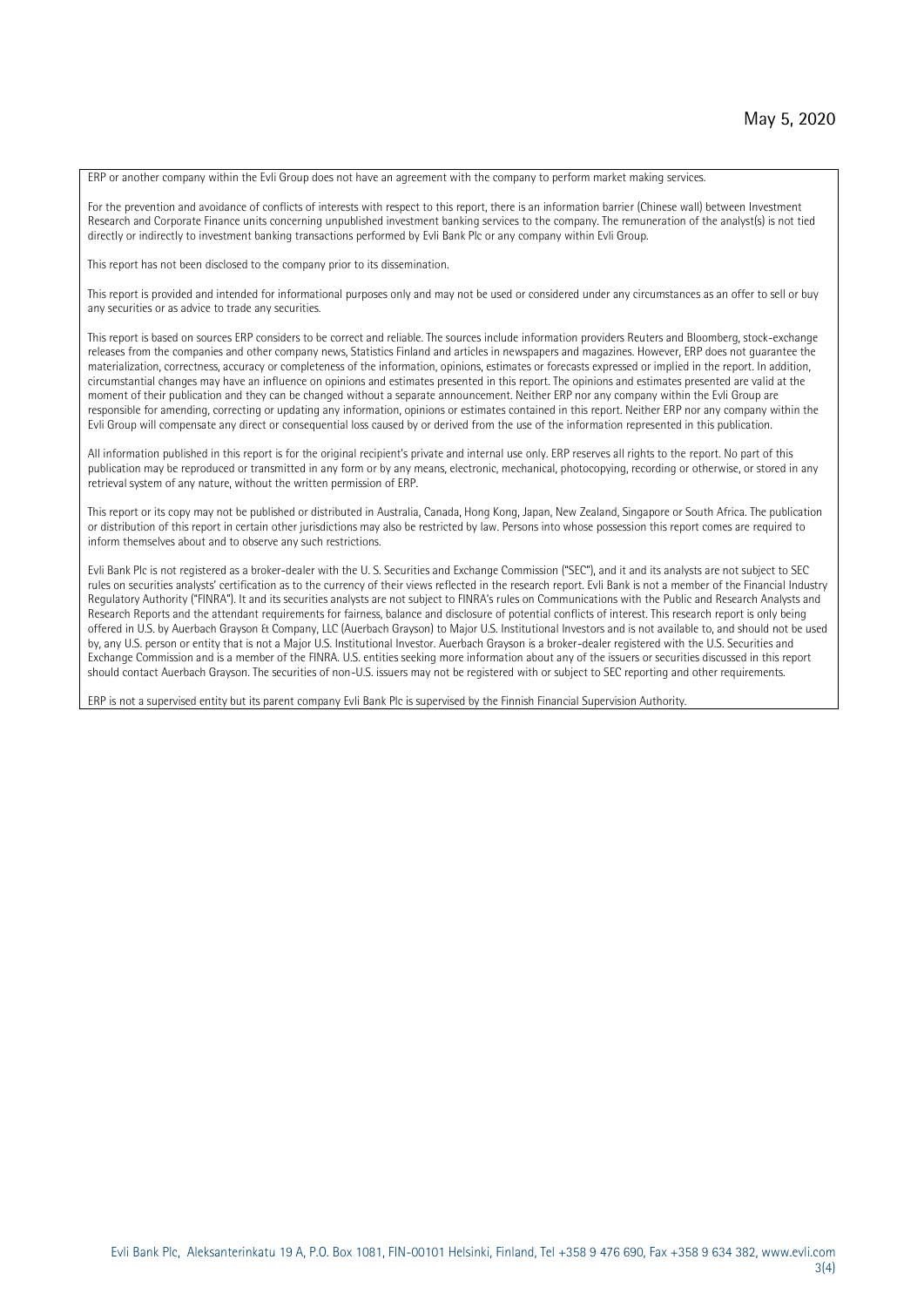ERP or another company within the Evli Group does not have an agreement with the company to perform market making services.

For the prevention and avoidance of conflicts of interests with respect to this report, there is an information barrier (Chinese wall) between Investment Research and Corporate Finance units concerning unpublished investment banking services to the company. The remuneration of the analyst(s) is not tied directly or indirectly to investment banking transactions performed by Evli Bank Plc or any company within Evli Group.

This report has not been disclosed to the company prior to its dissemination.

This report is provided and intended for informational purposes only and may not be used or considered under any circumstances as an offer to sell or buy any securities or as advice to trade any securities.

This report is based on sources ERP considers to be correct and reliable. The sources include information providers Reuters and Bloomberg, stock-exchange releases from the companies and other company news, Statistics Finland and articles in newspapers and magazines. However, ERP does not guarantee the materialization, correctness, accuracy or completeness of the information, opinions, estimates or forecasts expressed or implied in the report. In addition, circumstantial changes may have an influence on opinions and estimates presented in this report. The opinions and estimates presented are valid at the moment of their publication and they can be changed without a separate announcement. Neither ERP nor any company within the Evli Group are responsible for amending, correcting or updating any information, opinions or estimates contained in this report. Neither ERP nor any company within the Evli Group will compensate any direct or consequential loss caused by or derived from the use of the information represented in this publication.

All information published in this report is for the original recipient's private and internal use only. ERP reserves all rights to the report. No part of this publication may be reproduced or transmitted in any form or by any means, electronic, mechanical, photocopying, recording or otherwise, or stored in any retrieval system of any nature, without the written permission of ERP.

This report or its copy may not be published or distributed in Australia, Canada, Hong Kong, Japan, New Zealand, Singapore or South Africa. The publication or distribution of this report in certain other jurisdictions may also be restricted by law. Persons into whose possession this report comes are required to inform themselves about and to observe any such restrictions.

Evli Bank Plc is not registered as a broker-dealer with the U. S. Securities and Exchange Commission ("SEC"), and it and its analysts are not subject to SEC rules on securities analysts' certification as to the currency of their views reflected in the research report. Evli Bank is not a member of the Financial Industry Regulatory Authority ("FINRA"). It and its securities analysts are not subject to FINRA's rules on Communications with the Public and Research Analysts and Research Reports and the attendant requirements for fairness, balance and disclosure of potential conflicts of interest. This research report is only being offered in U.S. by Auerbach Grayson & Company, LLC (Auerbach Grayson) to Major U.S. Institutional Investors and is not available to, and should not be used by, any U.S. person or entity that is not a Major U.S. Institutional Investor. Auerbach Grayson is a broker-dealer registered with the U.S. Securities and Exchange Commission and is a member of the FINRA. U.S. entities seeking more information about any of the issuers or securities discussed in this report should contact Auerbach Grayson. The securities of non-U.S. issuers may not be registered with or subject to SEC reporting and other requirements.

ERP is not a supervised entity but its parent company Evli Bank Plc is supervised by the Finnish Financial Supervision Authority.